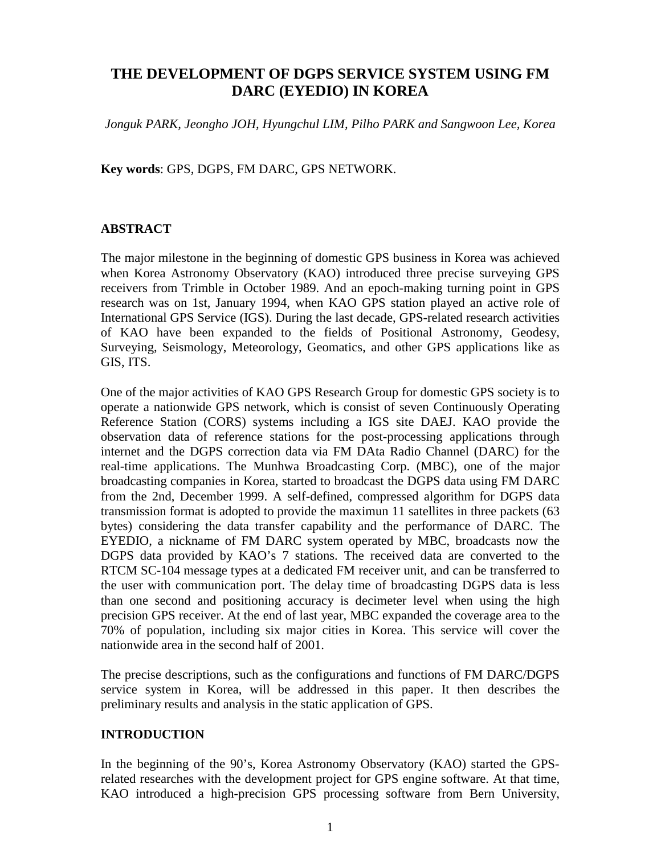# **THE DEVELOPMENT OF DGPS SERVICE SYSTEM USING FM DARC (EYEDIO) IN KOREA**

*Jonguk PARK, Jeongho JOH, Hyungchul LIM, Pilho PARK and Sangwoon Lee, Korea*

**Key words**: GPS, DGPS, FM DARC, GPS NETWORK.

## **ABSTRACT**

The major milestone in the beginning of domestic GPS business in Korea was achieved when Korea Astronomy Observatory (KAO) introduced three precise surveying GPS receivers from Trimble in October 1989. And an epoch-making turning point in GPS research was on 1st, January 1994, when KAO GPS station played an active role of International GPS Service (IGS). During the last decade, GPS-related research activities of KAO have been expanded to the fields of Positional Astronomy, Geodesy, Surveying, Seismology, Meteorology, Geomatics, and other GPS applications like as GIS, ITS.

One of the major activities of KAO GPS Research Group for domestic GPS society is to operate a nationwide GPS network, which is consist of seven Continuously Operating Reference Station (CORS) systems including a IGS site DAEJ. KAO provide the observation data of reference stations for the post-processing applications through internet and the DGPS correction data via FM DAta Radio Channel (DARC) for the real-time applications. The Munhwa Broadcasting Corp. (MBC), one of the major broadcasting companies in Korea, started to broadcast the DGPS data using FM DARC from the 2nd, December 1999. A self-defined, compressed algorithm for DGPS data transmission format is adopted to provide the maximun 11 satellites in three packets (63 bytes) considering the data transfer capability and the performance of DARC. The EYEDIO, a nickname of FM DARC system operated by MBC, broadcasts now the DGPS data provided by KAO's 7 stations. The received data are converted to the RTCM SC-104 message types at a dedicated FM receiver unit, and can be transferred to the user with communication port. The delay time of broadcasting DGPS data is less than one second and positioning accuracy is decimeter level when using the high precision GPS receiver. At the end of last year, MBC expanded the coverage area to the 70% of population, including six major cities in Korea. This service will cover the nationwide area in the second half of 2001.

The precise descriptions, such as the configurations and functions of FM DARC/DGPS service system in Korea, will be addressed in this paper. It then describes the preliminary results and analysis in the static application of GPS.

## **INTRODUCTION**

In the beginning of the 90's, Korea Astronomy Observatory (KAO) started the GPSrelated researches with the development project for GPS engine software. At that time, KAO introduced a high-precision GPS processing software from Bern University,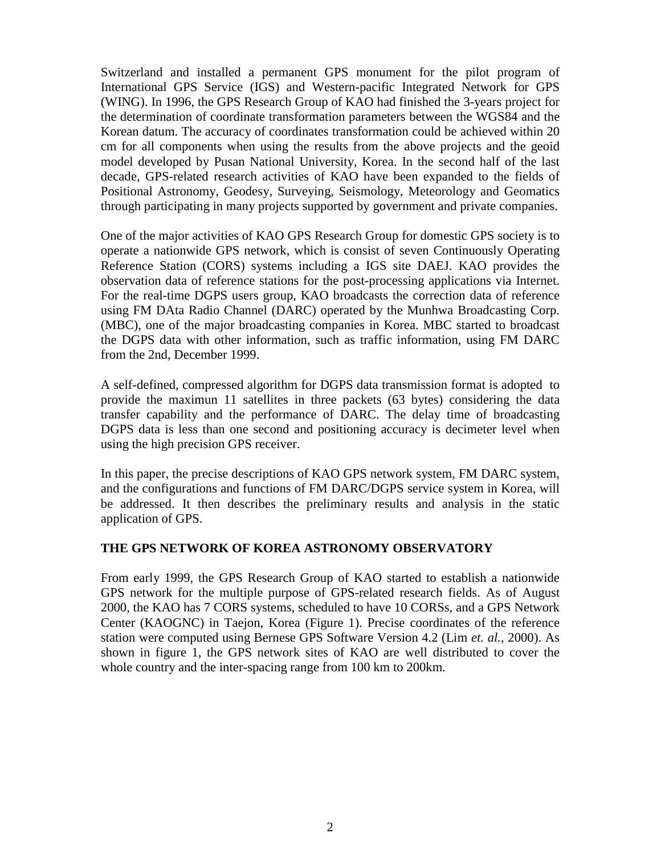Switzerland and installed a permanent GPS monument for the pilot program of International GPS Service (IGS) and Western-pacific Integrated Network for GPS (WING). In 1996, the GPS Research Group of KAO had finished the 3-years project for the determination of coordinate transformation parameters between the WGS84 and the Korean datum. The accuracy of coordinates transformation could be achieved within 20 cm for all components when using the results from the above projects and the geoid model developed by Pusan National University, Korea. In the second half of the last decade, GPS-related research activities of KAO have been expanded to the fields of Positional Astronomy, Geodesy, Surveying, Seismology, Meteorology and Geomatics through participating in many projects supported by government and private companies.

One of the major activities of KAO GPS Research Group for domestic GPS society is to operate a nationwide GPS network, which is consist of seven Continuously Operating Reference Station (CORS) systems including a IGS site DAEJ. KAO provides the observation data of reference stations for the post-processing applications via Internet. For the real-time DGPS users group, KAO broadcasts the correction data of reference using FM DAta Radio Channel (DARC) operated by the Munhwa Broadcasting Corp. (MBC), one of the major broadcasting companies in Korea. MBC started to broadcast the DGPS data with other information, such as traffic information, using FM DARC from the 2nd, December 1999.

A self-defined, compressed algorithm for DGPS data transmission format is adopted to provide the maximun 11 satellites in three packets (63 bytes) considering the data transfer capability and the performance of DARC. The delay time of broadcasting DGPS data is less than one second and positioning accuracy is decimeter level when using the high precision GPS receiver.

In this paper, the precise descriptions of KAO GPS network system, FM DARC system, and the configurations and functions of FM DARC/DGPS service system in Korea, will be addressed. It then describes the preliminary results and analysis in the static application of GPS.

### **THE GPS NETWORK OF KOREA ASTRONOMY OBSERVATORY**

From early 1999, the GPS Research Group of KAO started to establish a nationwide GPS network for the multiple purpose of GPS-related research fields. As of August 2000, the KAO has 7 CORS systems, scheduled to have 10 CORSs, and a GPS Network Center (KAOGNC) in Taejon, Korea (Figure 1). Precise coordinates of the reference station were computed using Bernese GPS Software Version 4.2 (Lim *et. al.*, 2000). As shown in figure 1, the GPS network sites of KAO are well distributed to cover the whole country and the inter-spacing range from 100 km to 200km.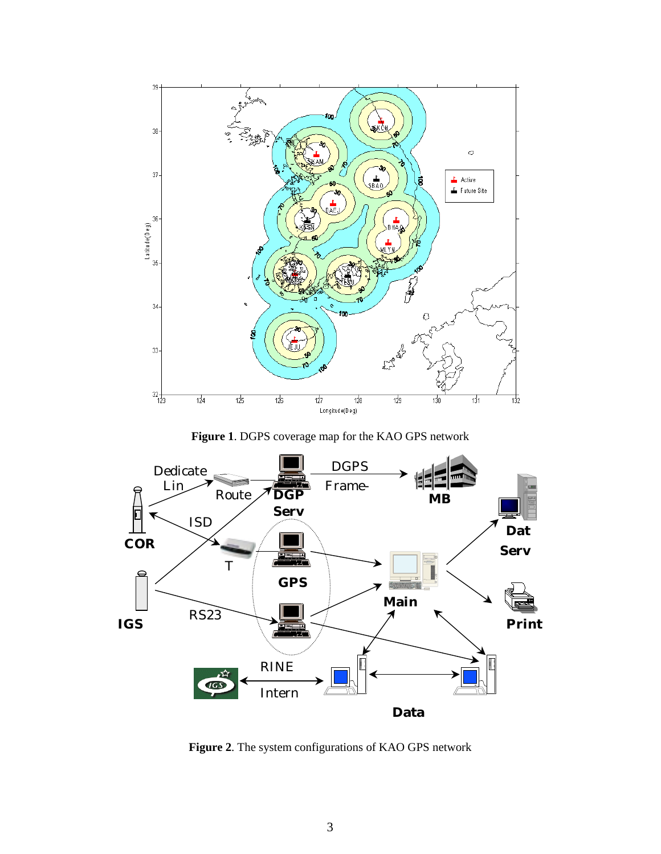

**Figure 1**. DGPS coverage map for the KAO GPS network



**Figure 2**. The system configurations of KAO GPS network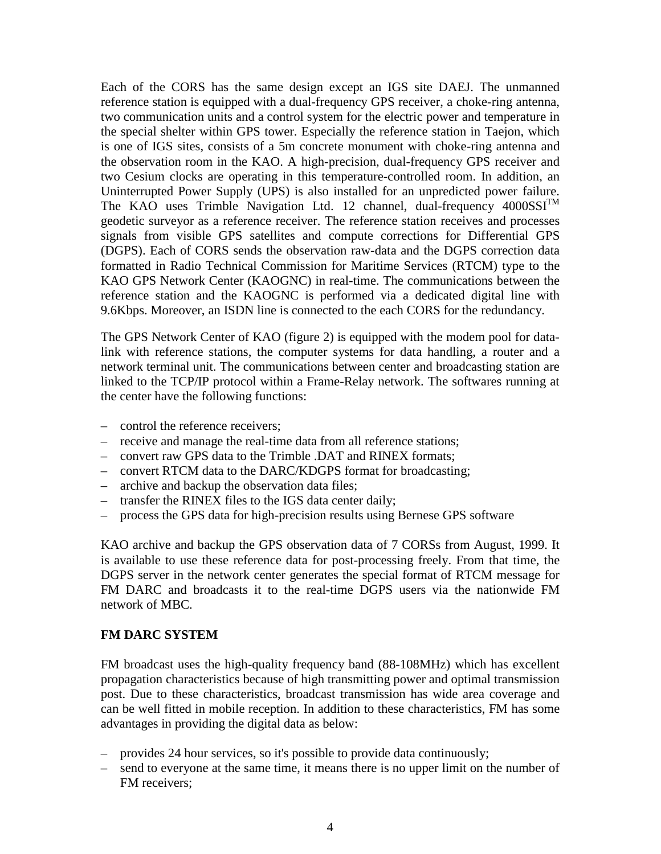Each of the CORS has the same design except an IGS site DAEJ. The unmanned reference station is equipped with a dual-frequency GPS receiver, a choke-ring antenna, two communication units and a control system for the electric power and temperature in the special shelter within GPS tower. Especially the reference station in Taejon, which is one of IGS sites, consists of a 5m concrete monument with choke-ring antenna and the observation room in the KAO. A high-precision, dual-frequency GPS receiver and two Cesium clocks are operating in this temperature-controlled room. In addition, an Uninterrupted Power Supply (UPS) is also installed for an unpredicted power failure. The KAO uses Trimble Navigation Ltd. 12 channel, dual-frequency 4000SSI<sup>TM</sup> geodetic surveyor as a reference receiver. The reference station receives and processes signals from visible GPS satellites and compute corrections for Differential GPS (DGPS). Each of CORS sends the observation raw-data and the DGPS correction data formatted in Radio Technical Commission for Maritime Services (RTCM) type to the KAO GPS Network Center (KAOGNC) in real-time. The communications between the reference station and the KAOGNC is performed via a dedicated digital line with 9.6Kbps. Moreover, an ISDN line is connected to the each CORS for the redundancy.

The GPS Network Center of KAO (figure 2) is equipped with the modem pool for datalink with reference stations, the computer systems for data handling, a router and a network terminal unit. The communications between center and broadcasting station are linked to the TCP/IP protocol within a Frame-Relay network. The softwares running at the center have the following functions:

- control the reference receivers;
- receive and manage the real-time data from all reference stations;
- convert raw GPS data to the Trimble .DAT and RINEX formats;
- convert RTCM data to the DARC/KDGPS format for broadcasting;
- archive and backup the observation data files;
- transfer the RINEX files to the IGS data center daily;
- process the GPS data for high-precision results using Bernese GPS software

KAO archive and backup the GPS observation data of 7 CORSs from August, 1999. It is available to use these reference data for post-processing freely. From that time, the DGPS server in the network center generates the special format of RTCM message for FM DARC and broadcasts it to the real-time DGPS users via the nationwide FM network of MBC.

### **FM DARC SYSTEM**

FM broadcast uses the high-quality frequency band (88-108MHz) which has excellent propagation characteristics because of high transmitting power and optimal transmission post. Due to these characteristics, broadcast transmission has wide area coverage and can be well fitted in mobile reception. In addition to these characteristics, FM has some advantages in providing the digital data as below:

- provides 24 hour services, so it's possible to provide data continuously;
- send to everyone at the same time, it means there is no upper limit on the number of FM receivers;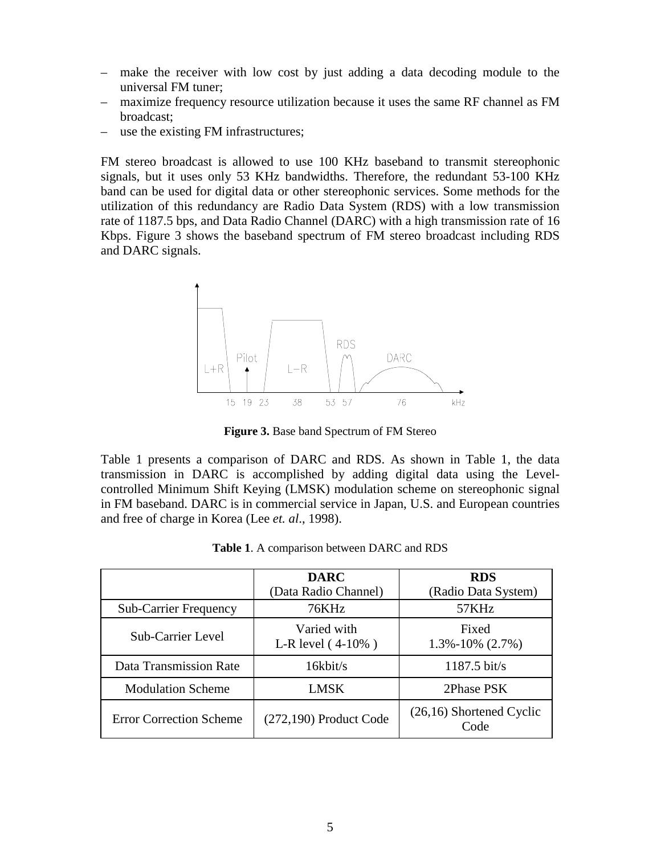- make the receiver with low cost by just adding a data decoding module to the universal FM tuner;
- maximize frequency resource utilization because it uses the same RF channel as FM broadcast;
- use the existing FM infrastructures;

FM stereo broadcast is allowed to use 100 KHz baseband to transmit stereophonic signals, but it uses only 53 KHz bandwidths. Therefore, the redundant 53-100 KHz band can be used for digital data or other stereophonic services. Some methods for the utilization of this redundancy are Radio Data System (RDS) with a low transmission rate of 1187.5 bps, and Data Radio Channel (DARC) with a high transmission rate of 16 Kbps. Figure 3 shows the baseband spectrum of FM stereo broadcast including RDS and DARC signals.



**Figure 3.** Base band Spectrum of FM Stereo

Table 1 presents a comparison of DARC and RDS. As shown in Table 1, the data transmission in DARC is accomplished by adding digital data using the Levelcontrolled Minimum Shift Keying (LMSK) modulation scheme on stereophonic signal in FM baseband. DARC is in commercial service in Japan, U.S. and European countries and free of charge in Korea (Lee *et. al*., 1998).

|                                | <b>DARC</b><br>(Data Radio Channel) | <b>RDS</b><br>(Radio Data System)  |
|--------------------------------|-------------------------------------|------------------------------------|
| <b>Sub-Carrier Frequency</b>   | 76KHz                               | 57KHz                              |
| Sub-Carrier Level              | Varied with<br>L-R level $(4-10\%)$ | Fixed<br>$1.3\% - 10\%$ (2.7%)     |
| Data Transmission Rate         | 16kbit/s                            | $1187.5$ bit/s                     |
| <b>Modulation Scheme</b>       | LMSK                                | 2Phase PSK                         |
| <b>Error Correction Scheme</b> | $(272,190)$ Product Code            | $(26,16)$ Shortened Cyclic<br>Code |

**Table 1**. A comparison between DARC and RDS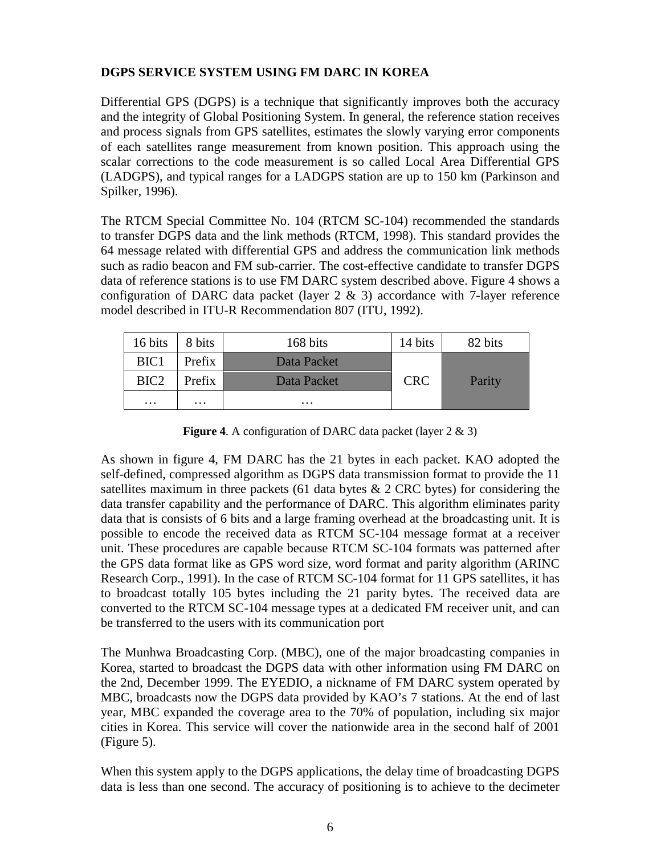# **DGPS SERVICE SYSTEM USING FM DARC IN KOREA**

Differential GPS (DGPS) is a technique that significantly improves both the accuracy and the integrity of Global Positioning System. In general, the reference station receives and process signals from GPS satellites, estimates the slowly varying error components of each satellites range measurement from known position. This approach using the scalar corrections to the code measurement is so called Local Area Differential GPS (LADGPS), and typical ranges for a LADGPS station are up to 150 km (Parkinson and Spilker, 1996).

The RTCM Special Committee No. 104 (RTCM SC-104) recommended the standards to transfer DGPS data and the link methods (RTCM, 1998). This standard provides the 64 message related with differential GPS and address the communication link methods such as radio beacon and FM sub-carrier. The cost-effective candidate to transfer DGPS data of reference stations is to use FM DARC system described above. Figure 4 shows a configuration of DARC data packet (layer  $2 \& 3$ ) accordance with 7-layer reference model described in ITU-R Recommendation 807 (ITU, 1992).

| 16 bits          | 8 bits   | 168 bits    | 14 bits    | 82 bits |
|------------------|----------|-------------|------------|---------|
| BIC <sub>1</sub> | Prefix   | Data Packet |            |         |
| BIC <sub>2</sub> | Prefix   | Data Packet | <b>CRC</b> | Parity  |
| $\cdots$         | $\cdots$ | $\cdots$    |            |         |

**Figure 4**. A configuration of DARC data packet (layer 2 & 3)

As shown in figure 4, FM DARC has the 21 bytes in each packet. KAO adopted the self-defined, compressed algorithm as DGPS data transmission format to provide the 11 satellites maximum in three packets (61 data bytes  $\&$  2 CRC bytes) for considering the data transfer capability and the performance of DARC. This algorithm eliminates parity data that is consists of 6 bits and a large framing overhead at the broadcasting unit. It is possible to encode the received data as RTCM SC-104 message format at a receiver unit. These procedures are capable because RTCM SC-104 formats was patterned after the GPS data format like as GPS word size, word format and parity algorithm (ARINC Research Corp., 1991). In the case of RTCM SC-104 format for 11 GPS satellites, it has to broadcast totally 105 bytes including the 21 parity bytes. The received data are converted to the RTCM SC-104 message types at a dedicated FM receiver unit, and can be transferred to the users with its communication port

The Munhwa Broadcasting Corp. (MBC), one of the major broadcasting companies in Korea, started to broadcast the DGPS data with other information using FM DARC on the 2nd, December 1999. The EYEDIO, a nickname of FM DARC system operated by MBC, broadcasts now the DGPS data provided by KAO's 7 stations. At the end of last year, MBC expanded the coverage area to the 70% of population, including six major cities in Korea. This service will cover the nationwide area in the second half of 2001 (Figure 5).

When this system apply to the DGPS applications, the delay time of broadcasting DGPS data is less than one second. The accuracy of positioning is to achieve to the decimeter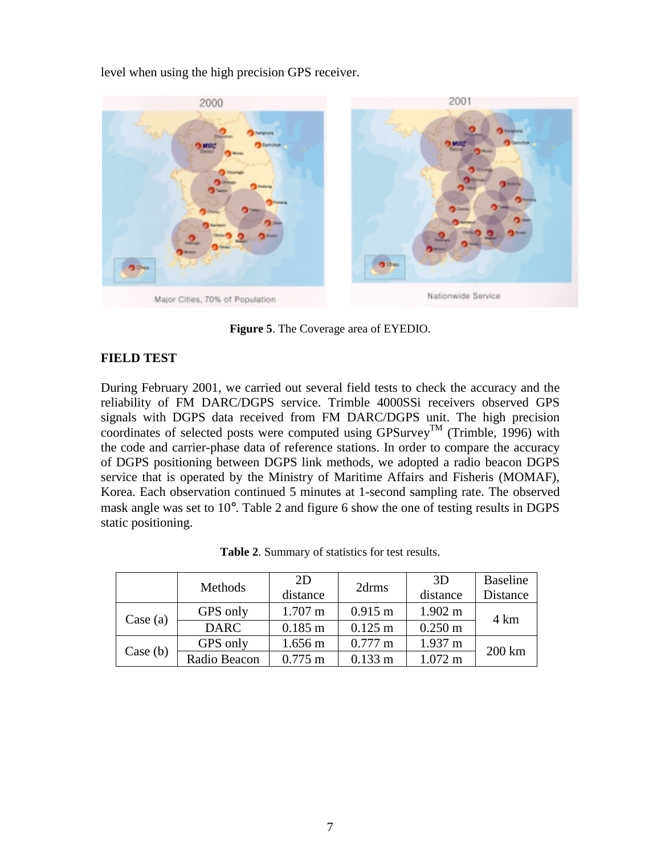level when using the high precision GPS receiver.



**Figure 5**. The Coverage area of EYEDIO.

# **FIELD TEST**

During February 2001, we carried out several field tests to check the accuracy and the reliability of FM DARC/DGPS service. Trimble 4000SSi receivers observed GPS signals with DGPS data received from FM DARC/DGPS unit. The high precision coordinates of selected posts were computed using GPSurvey<sup>TM</sup> (Trimble, 1996) with the code and carrier-phase data of reference stations. In order to compare the accuracy of DGPS positioning between DGPS link methods, we adopted a radio beacon DGPS service that is operated by the Ministry of Maritime Affairs and Fisheris (MOMAF), Korea. Each observation continued 5 minutes at 1-second sampling rate. The observed mask angle was set to 10°. Table 2 and figure 6 show the one of testing results in DGPS static positioning.

|          | <b>Methods</b> | 2D<br>distance        | 2drms             | 3D<br>distance    | <b>Baseline</b><br>Distance |
|----------|----------------|-----------------------|-------------------|-------------------|-----------------------------|
| Case (a) | GPS only       | $1.707 \text{ m}$     | $0.915 \text{ m}$ | $1.902 \text{ m}$ | 4 km                        |
|          | <b>DARC</b>    | $0.185 \; \mathrm{m}$ | $0.125 \text{ m}$ | $0.250 \text{ m}$ |                             |
|          | GPS only       | $1.656 \text{ m}$     | $0.777 \text{ m}$ | $1.937 \text{ m}$ | 200 km                      |
| Case (b) | Radio Beacon   | $0.775 \text{ m}$     | $0.133 \; m$      | $1.072 \text{ m}$ |                             |

| Table 2. Summary of statistics for test results. |
|--------------------------------------------------|
|--------------------------------------------------|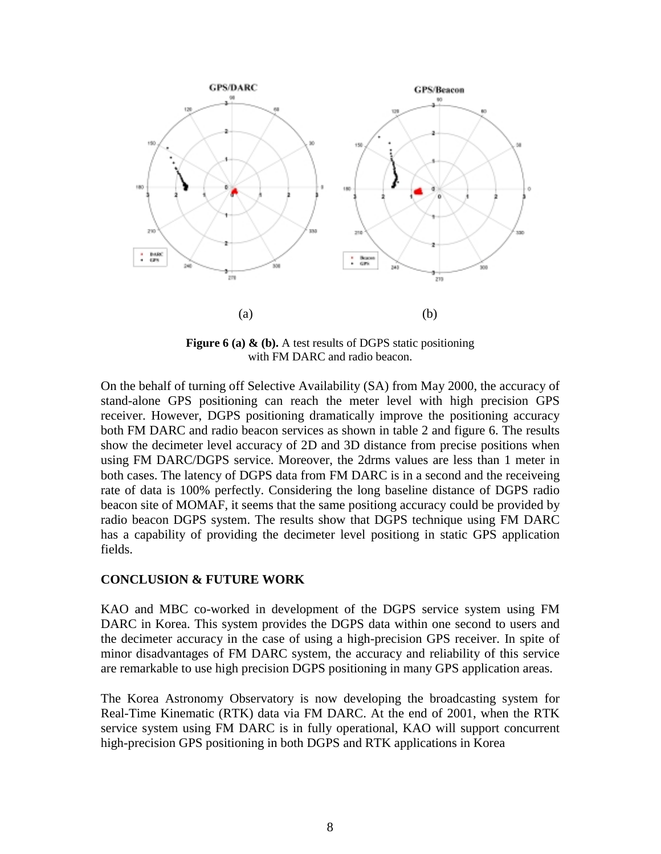

Figure 6 (a)  $\&$  (b). A test results of DGPS static positioning with FM DARC and radio beacon.

On the behalf of turning off Selective Availability (SA) from May 2000, the accuracy of stand-alone GPS positioning can reach the meter level with high precision GPS receiver. However, DGPS positioning dramatically improve the positioning accuracy both FM DARC and radio beacon services as shown in table 2 and figure 6. The results show the decimeter level accuracy of 2D and 3D distance from precise positions when using FM DARC/DGPS service. Moreover, the 2drms values are less than 1 meter in both cases. The latency of DGPS data from FM DARC is in a second and the receiveing rate of data is 100% perfectly. Considering the long baseline distance of DGPS radio beacon site of MOMAF, it seems that the same positiong accuracy could be provided by radio beacon DGPS system. The results show that DGPS technique using FM DARC has a capability of providing the decimeter level positiong in static GPS application fields.

### **CONCLUSION & FUTURE WORK**

KAO and MBC co-worked in development of the DGPS service system using FM DARC in Korea. This system provides the DGPS data within one second to users and the decimeter accuracy in the case of using a high-precision GPS receiver. In spite of minor disadvantages of FM DARC system, the accuracy and reliability of this service are remarkable to use high precision DGPS positioning in many GPS application areas.

The Korea Astronomy Observatory is now developing the broadcasting system for Real-Time Kinematic (RTK) data via FM DARC. At the end of 2001, when the RTK service system using FM DARC is in fully operational, KAO will support concurrent high-precision GPS positioning in both DGPS and RTK applications in Korea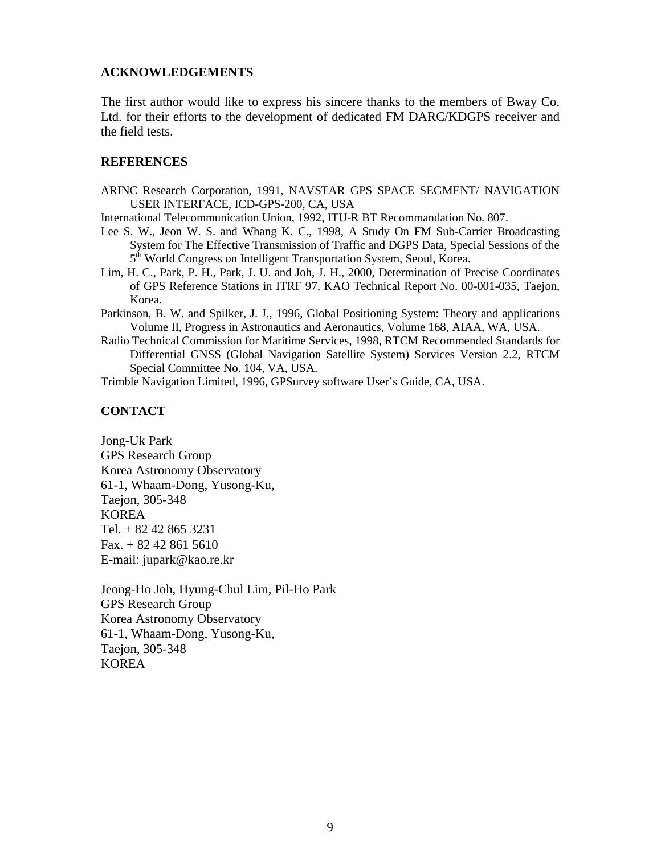### **ACKNOWLEDGEMENTS**

The first author would like to express his sincere thanks to the members of Bway Co. Ltd. for their efforts to the development of dedicated FM DARC/KDGPS receiver and the field tests.

#### **REFERENCES**

ARINC Research Corporation, 1991, NAVSTAR GPS SPACE SEGMENT/ NAVIGATION USER INTERFACE, ICD-GPS-200, CA, USA

International Telecommunication Union, 1992, ITU-R BT Recommandation No. 807.

- Lee S. W., Jeon W. S. and Whang K. C., 1998, A Study On FM Sub-Carrier Broadcasting System for The Effective Transmission of Traffic and DGPS Data, Special Sessions of the  $5<sup>th</sup>$  World Congress on Intelligent Transportation System, Seoul, Korea.
- Lim, H. C., Park, P. H., Park, J. U. and Joh, J. H., 2000, Determination of Precise Coordinates of GPS Reference Stations in ITRF 97, KAO Technical Report No. 00-001-035, Taejon, Korea.

Parkinson, B. W. and Spilker, J. J., 1996, Global Positioning System: Theory and applications Volume II, Progress in Astronautics and Aeronautics, Volume 168, AIAA, WA, USA.

Radio Technical Commission for Maritime Services, 1998, RTCM Recommended Standards for Differential GNSS (Global Navigation Satellite System) Services Version 2.2, RTCM Special Committee No. 104, VA, USA.

Trimble Navigation Limited, 1996, GPSurvey software User's Guide, CA, USA.

### **CONTACT**

Jong-Uk Park GPS Research Group Korea Astronomy Observatory 61-1, Whaam-Dong, Yusong-Ku, Taejon, 305-348 KOREA Tel. + 82 42 865 3231 Fax. + 82 42 861 5610 E-mail: jupark@kao.re.kr

Jeong-Ho Joh, Hyung-Chul Lim, Pil-Ho Park GPS Research Group Korea Astronomy Observatory 61-1, Whaam-Dong, Yusong-Ku, Taejon, 305-348 KOREA